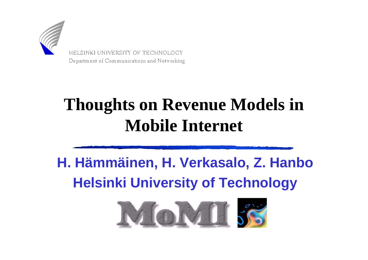

HELSINKI UNIVERSITY OF TECHNOLOGY Department of Communications and Networking

#### **Thoughts on Revenue Models in Mobile Internet**

#### **H. Hämmäinen, H. Verkasalo, Z. HanboHelsinki University of Technology**

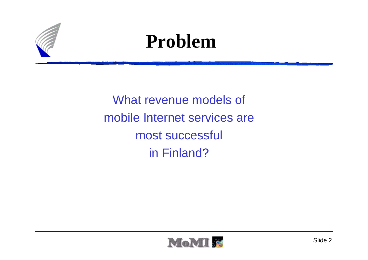

#### **Problem**

What revenue models of mobile Internet services are most successful in Finland?

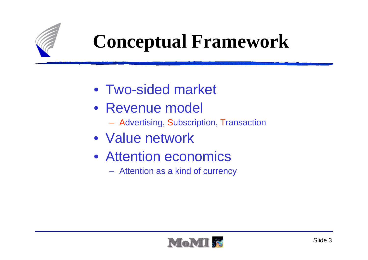

### **Conceptual Framework**

- Two-sided market
- Revenue model
	- Advertising, Subscription, Transaction
- Value network
- Attention economics
	- $-$  Attention as a kind of curren Attention as a kind of currency

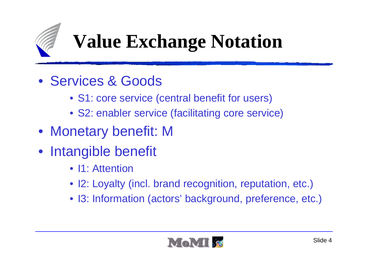

# **Value Exchange Notation**

- Services & Goods
	- S1: core service (central benefit for users)
	- S2: enabler service (facilitating core service)
- Monetary benefit: M
- Intangible benefit
	- I1: Attention
	- I2: Loyalty (incl. brand recognition, reputation, etc.)
	- I3: Information (actors' background, preference, etc.)

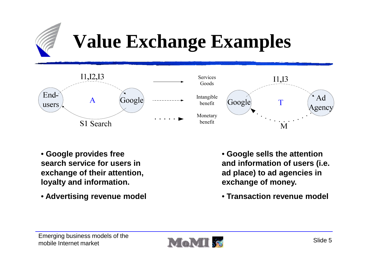

### **Value Exchange Examples**



- **Google provides free search service for users in exchange of their attention, loyalty and information.**
- **Advertising revenue model**



- **Google sells the attention and information of users (i.e. ad place) to ad agencies in exchange of money.**
- **Transaction revenue model**

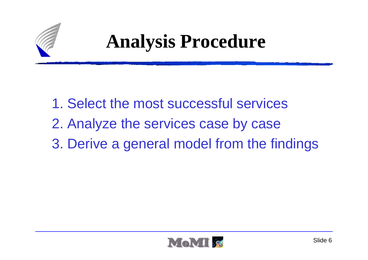

### **Analysis Procedure**

1. Select the most successful services2. Analyze the services case by case3. Derive a general model from the findings

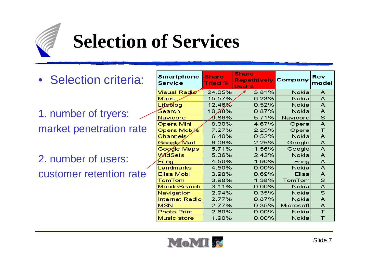

### **Selection of Services**

• Selection criteria:

1. number of tryers: market penetration rate

2. number of users:customer retention rate

| <b>Smartphone</b><br><b>Service</b> | <b>Share</b><br><b>Tried %</b> | <b>Share</b><br><b>Repetitively Company</b><br>Usd % |           | Rev<br>model |
|-------------------------------------|--------------------------------|------------------------------------------------------|-----------|--------------|
| <b>Visual Radio</b>                 | 24.05%                         | 3.81%                                                | Nokia     | A            |
| <b>Maps</b>                         | 15.57%                         | 6.23%                                                | Nokia     | A            |
| Lifeblog                            | 12.46%                         | 0.52%                                                | Nokia     | A            |
| Search                              | 10,28%                         | 0.87%                                                | Nokia     | A            |
| Navicore                            | $9.86\%$                       | 5.71%                                                | Navicore  | $\mathsf{s}$ |
| Opera Mini                          | 8.30%                          | 4.67%                                                | Opera     | A            |
| Opera Mobile                        | 7.27%                          | 2.25%                                                | Opera     | T            |
| Channels                            | 6.40%                          | 0.52%                                                | Nokia     | A            |
| Google Mail                         | 6.06%                          | 2.25%                                                | Google    | A            |
| Google Maps                         | 5.71%                          | 1.56%                                                | Google    | A            |
| <b>WidSets</b>                      | 5.36%                          | 2.42%                                                | Nokia     | A            |
| Fring                               | 4.50%                          | 1.90%                                                | Fring     | A            |
| Landmarks                           | 4.50%                          | 0.00%                                                | Nokia     | A            |
| Elisa Mobi                          | 3.98%                          | 0.69%                                                | Elisa     | A            |
| TomTom                              | 3.98%                          | 1.38%                                                | TomTom    | $\mathbb S$  |
| <b>MobileSearch</b>                 | 3.11%                          | $0.00\%$                                             | Nokia     | A            |
| Navigation                          | 2.94%                          | 0.35%                                                | Nokia     | $\mathsf{s}$ |
| <b>Internet Radio</b>               | 2.77%                          | 0.87%                                                | Nokia     | A            |
| <b>MSN</b>                          | 2.77%                          | 0.35%                                                | Microsoft | A            |
| <b>Photo Print</b>                  | 2.60%                          | $0.00\%$                                             | Nokia     | $\top$       |
| <b>Music store</b>                  | 1.90%                          | $0.00\%$                                             | Nokia     | $\top$       |

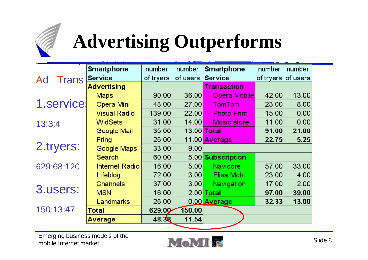

# **Advertising Outperforms**

|            | <b>Smartphone</b>   | number    | number            | <b>Smartphone</b>  | number             | number |
|------------|---------------------|-----------|-------------------|--------------------|--------------------|--------|
| Ad: Trans  | <b>Service</b>      | of tryers | of users Service  |                    | of tryers of users |        |
|            | <b>Advertising</b>  |           |                   | <b>Transaction</b> |                    |        |
|            | <b>Maps</b>         | 90.00     | 36.00             | Opera Mobile       | 42.00              | 13.00  |
| 1.service  | Opera Mini          | 48.00     | 27.00             | <b>TomTom</b>      | 23.00              | 8.00   |
|            | <b>Visual Radio</b> | 139.00    | 22.00             | <b>Photo Print</b> | 15.00              | 0.00   |
| 13:3:4     | <b>WidSets</b>      | 31.00     | 14.00             | <b>Music store</b> | 11.00              | 0.00   |
|            | Google Mail         | 35.00     | 13.00 Total       |                    | 91.00              | 21.00  |
| 2.tryers:  | Fring               | 26.00     |                   | 11.00 Average      | 22.75              | 5.25   |
|            | Google Maps         | 33.00     | 9.00              |                    |                    |        |
|            | Search              | 60.00     |                   | 5.00 Subscription  |                    |        |
| 629:68:120 | Internet Radio      | 16.00     | 5.00 <sub>l</sub> | <b>Navicore</b>    | 57.00              | 33.00  |
|            | Lifeblog            | 72.00     | 3.00 <sub>l</sub> | Elisa Mobi         | 23.00              | 4.00   |
| 3.users:   | Channels            | 37.00     | 3.00              | Navigation         | 17.00              | 2.00   |
|            | <b>MSN</b>          | 16.00     |                   | $2.00$ Total       | 97.00              | 39.00  |
|            | Landmarks           | 26.00     |                   | 0.00 Average       | 32.33              | 13.00  |
| 150:13:47  | <b>Total</b>        | 629.00    | 150.00            |                    |                    |        |
|            | Average             | 48.38     | 11.54             |                    |                    |        |

Emerging business models of the mobile Internet market

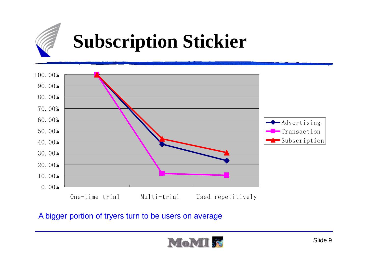

### **Subscription Stickier**



A bigger portion of tryers turn to be users on average

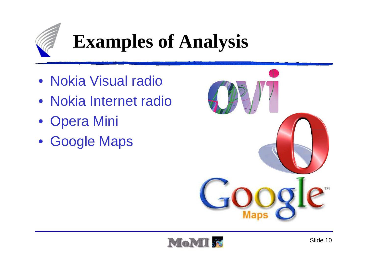

## **Examples of Analysis**

- Nokia Visual radio
- Nokia Internet radio
- Opera Mini
- Google Maps



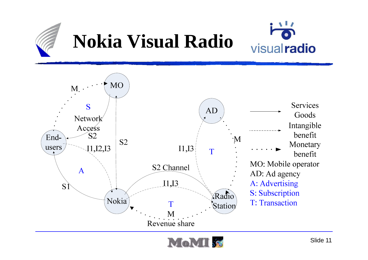

# **Nokia Visual Radio**





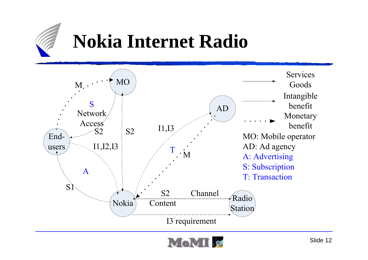

### **Nokia Internet Radio**



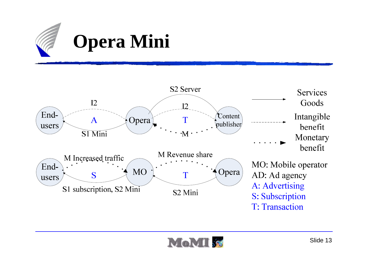



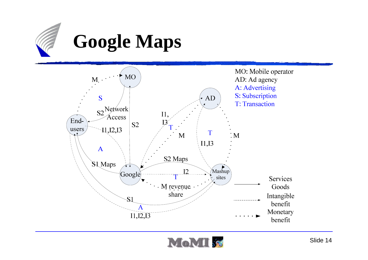

### **Google Maps**



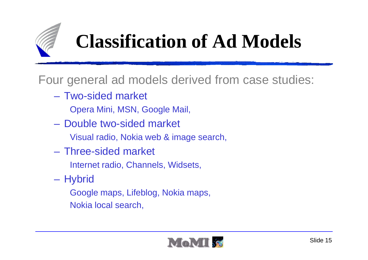

### **Classification of Ad Models**

Four general ad models derived from case studies:

- Two-sided market Opera Mini, MSN, Google Mail,
- $\mathcal{L}_{\mathcal{A}}$  , and the set of the set of the set of the set of the set of the set of the set of the set of the set of the set of the set of the set of the set of the set of the set of the set of the set of the set of th Double two-sided market
	- Visual radio, Nokia web & image search,
- Three-sided market
	- Internet radio, Channels, Widsets,
- **Hybrid** 
	- Google maps, Lifeblog, Nokia maps, Nokia local search,

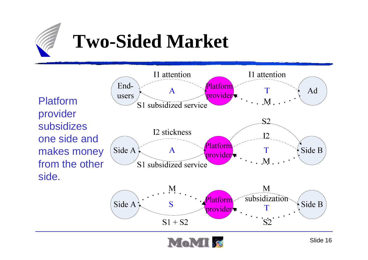

#### **Two-Sided Market**



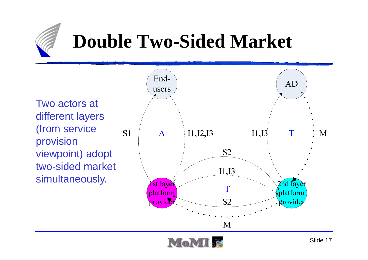

### **Double Two-Sided Market**

Two actors at different layers (from service provision viewpoint) adopt two-sided market simultaneously.



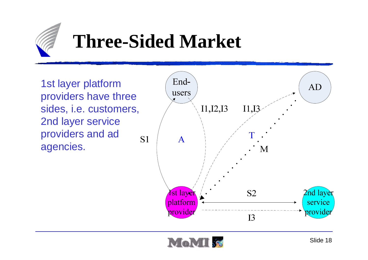

### **Three-Sided Market**

1st layer platform providers have three sides, i.e. customers, 2nd layer service providers and ad agencies.



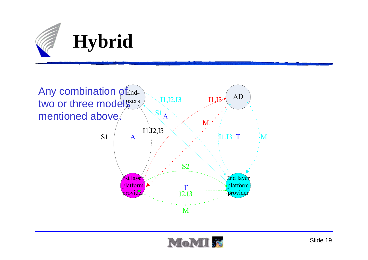